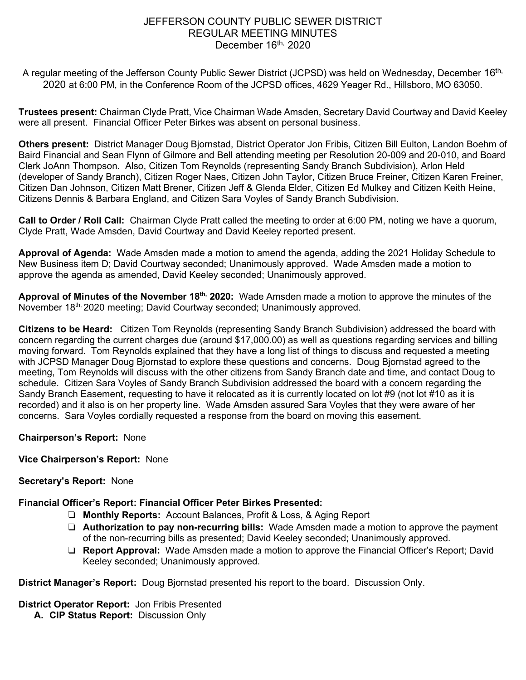# JEFFERSON COUNTY PUBLIC SEWER DISTRICT REGULAR MEETING MINUTES December 16<sup>th,</sup> 2020

A regular meeting of the Jefferson County Public Sewer District (JCPSD) was held on Wednesday, December 16<sup>th,</sup> 2020 at 6:00 PM, in the Conference Room of the JCPSD offices, 4629 Yeager Rd., Hillsboro, MO 63050.

**Trustees present:** Chairman Clyde Pratt, Vice Chairman Wade Amsden, Secretary David Courtway and David Keeley were all present. Financial Officer Peter Birkes was absent on personal business.

**Others present:** District Manager Doug Bjornstad, District Operator Jon Fribis, Citizen Bill Eulton, Landon Boehm of Baird Financial and Sean Flynn of Gilmore and Bell attending meeting per Resolution 20-009 and 20-010, and Board Clerk JoAnn Thompson. Also, Citizen Tom Reynolds (representing Sandy Branch Subdivision), Arlon Held (developer of Sandy Branch), Citizen Roger Naes, Citizen John Taylor, Citizen Bruce Freiner, Citizen Karen Freiner, Citizen Dan Johnson, Citizen Matt Brener, Citizen Jeff & Glenda Elder, Citizen Ed Mulkey and Citizen Keith Heine, Citizens Dennis & Barbara England, and Citizen Sara Voyles of Sandy Branch Subdivision.

**Call to Order / Roll Call:** Chairman Clyde Pratt called the meeting to order at 6:00 PM, noting we have a quorum, Clyde Pratt, Wade Amsden, David Courtway and David Keeley reported present.

**Approval of Agenda:** Wade Amsden made a motion to amend the agenda, adding the 2021 Holiday Schedule to New Business item D; David Courtway seconded; Unanimously approved. Wade Amsden made a motion to approve the agenda as amended, David Keeley seconded; Unanimously approved.

**Approval of Minutes of the November 18th, 2020:** Wade Amsden made a motion to approve the minutes of the November 18<sup>th, 2020</sup> meeting; David Courtway seconded; Unanimously approved.

**Citizens to be Heard:** Citizen Tom Reynolds (representing Sandy Branch Subdivision) addressed the board with concern regarding the current charges due (around \$17,000.00) as well as questions regarding services and billing moving forward. Tom Reynolds explained that they have a long list of things to discuss and requested a meeting with JCPSD Manager Doug Bjornstad to explore these questions and concerns. Doug Bjornstad agreed to the meeting, Tom Reynolds will discuss with the other citizens from Sandy Branch date and time, and contact Doug to schedule. Citizen Sara Voyles of Sandy Branch Subdivision addressed the board with a concern regarding the Sandy Branch Easement, requesting to have it relocated as it is currently located on lot #9 (not lot #10 as it is recorded) and it also is on her property line. Wade Amsden assured Sara Voyles that they were aware of her concerns. Sara Voyles cordially requested a response from the board on moving this easement.

### **Chairperson's Report:** None

### **Vice Chairperson's Report:** None

### **Secretary's Report:** None

**Financial Officer's Report: Financial Officer Peter Birkes Presented:** 

- ❏ **Monthly Reports:** Account Balances, Profit & Loss, & Aging Report
- ❏ **Authorization to pay non-recurring bills:** Wade Amsden made a motion to approve the payment of the non-recurring bills as presented; David Keeley seconded; Unanimously approved.
- ❏ **Report Approval:** Wade Amsden made a motion to approve the Financial Officer's Report; David Keeley seconded; Unanimously approved.

**District Manager's Report:** Doug Bjornstad presented his report to the board. Discussion Only.

**District Operator Report:** Jon Fribis Presented

**A. CIP Status Report:** Discussion Only